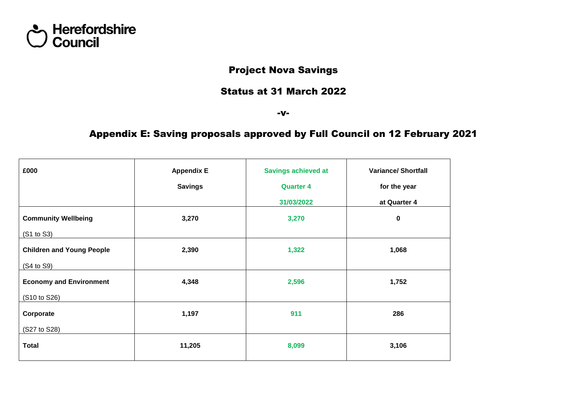

## Project Nova Savings

#### Status at 31 March 2022

-v-

## Appendix E: Saving proposals approved by Full Council on 12 February 2021

| £000                             | <b>Appendix E</b> | <b>Savings achieved at</b> | <b>Variance/Shortfall</b> |  |
|----------------------------------|-------------------|----------------------------|---------------------------|--|
|                                  | <b>Savings</b>    | <b>Quarter 4</b>           | for the year              |  |
|                                  |                   | 31/03/2022                 | at Quarter 4              |  |
| <b>Community Wellbeing</b>       | 3,270             | 3,270                      | $\mathbf 0$               |  |
| (S1 to S3)                       |                   |                            |                           |  |
| <b>Children and Young People</b> | 2,390             | 1,322                      | 1,068                     |  |
| (S4 to S9)                       |                   |                            |                           |  |
| <b>Economy and Environment</b>   | 4,348             | 2,596                      | 1,752                     |  |
| (S10 to S26)                     |                   |                            |                           |  |
| Corporate                        | 1,197             | 911                        | 286                       |  |
| (S27 to S28)                     |                   |                            |                           |  |
| <b>Total</b>                     | 11,205            | 8,099                      | 3,106                     |  |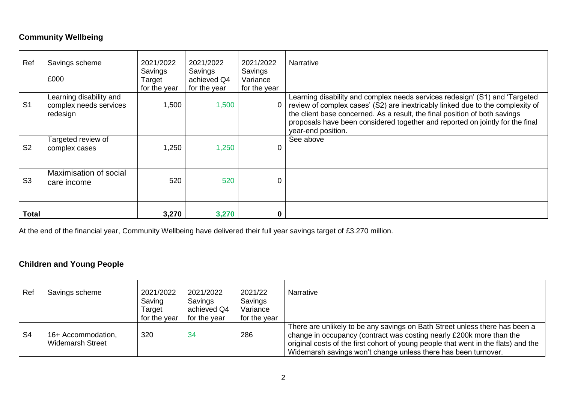### **Community Wellbeing**

| Ref            | Savings scheme<br>£000                                        | 2021/2022<br>Savings<br>Target<br>for the year | 2021/2022<br>Savings<br>achieved Q4<br>for the year | 2021/2022<br>Savings<br>Variance<br>for the year | <b>Narrative</b>                                                                                                                                                                                                                                                                                                                                   |
|----------------|---------------------------------------------------------------|------------------------------------------------|-----------------------------------------------------|--------------------------------------------------|----------------------------------------------------------------------------------------------------------------------------------------------------------------------------------------------------------------------------------------------------------------------------------------------------------------------------------------------------|
| S <sub>1</sub> | Learning disability and<br>complex needs services<br>redesign | 1,500                                          | 1,500                                               |                                                  | Learning disability and complex needs services redesign' (S1) and 'Targeted<br>review of complex cases' (S2) are inextricably linked due to the complexity of<br>the client base concerned. As a result, the final position of both savings<br>proposals have been considered together and reported on jointly for the final<br>year-end position. |
| S <sub>2</sub> | Targeted review of<br>complex cases                           | 1,250                                          | 1,250                                               |                                                  | See above                                                                                                                                                                                                                                                                                                                                          |
| S <sub>3</sub> | Maximisation of social<br>care income                         | 520                                            | 520                                                 |                                                  |                                                                                                                                                                                                                                                                                                                                                    |
| <b>Total</b>   |                                                               | 3,270                                          | 3,270                                               |                                                  |                                                                                                                                                                                                                                                                                                                                                    |

At the end of the financial year, Community Wellbeing have delivered their full year savings target of £3.270 million.

## **Children and Young People**

| Ref            | Savings scheme                                | 2021/2022<br>Saving<br>Target<br>for the year | 2021/2022<br>Savings<br>achieved Q4<br>for the year | 2021/22<br>Savings<br>Variance<br>for the year | <b>Narrative</b>                                                                                                                                                                                                                                                                                            |
|----------------|-----------------------------------------------|-----------------------------------------------|-----------------------------------------------------|------------------------------------------------|-------------------------------------------------------------------------------------------------------------------------------------------------------------------------------------------------------------------------------------------------------------------------------------------------------------|
| S <sub>4</sub> | 16+ Accommodation,<br><b>Widemarsh Street</b> | 320                                           | 34                                                  | 286                                            | There are unlikely to be any savings on Bath Street unless there has been a<br>change in occupancy (contract was costing nearly £200k more than the<br>original costs of the first cohort of young people that went in the flats) and the<br>Widemarsh savings won't change unless there has been turnover. |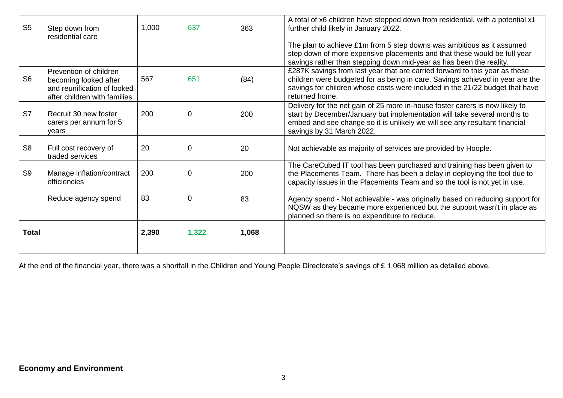| S <sub>5</sub> | Step down from<br>residential care                                                                             | 1,000 | 637         | 363   | A total of x6 children have stepped down from residential, with a potential x1<br>further child likely in January 2022.                                                                                                                                             |
|----------------|----------------------------------------------------------------------------------------------------------------|-------|-------------|-------|---------------------------------------------------------------------------------------------------------------------------------------------------------------------------------------------------------------------------------------------------------------------|
|                |                                                                                                                |       |             |       | The plan to achieve £1m from 5 step downs was ambitious as it assumed<br>step down of more expensive placements and that these would be full year<br>savings rather than stepping down mid-year as has been the reality.                                            |
| S <sub>6</sub> | Prevention of children<br>becoming looked after<br>and reunification of looked<br>after children with families | 567   | 651         | (84)  | £287K savings from last year that are carried forward to this year as these<br>children were budgeted for as being in care. Savings achieved in year are the<br>savings for children whose costs were included in the 21/22 budget that have<br>returned home.      |
| S7             | Recruit 30 new foster<br>carers per annum for 5<br>vears                                                       | 200   | $\mathbf 0$ | 200   | Delivery for the net gain of 25 more in-house foster carers is now likely to<br>start by December/January but implementation will take several months to<br>embed and see change so it is unlikely we will see any resultant financial<br>savings by 31 March 2022. |
| S <sub>8</sub> | Full cost recovery of<br>traded services                                                                       | 20    | $\mathbf 0$ | 20    | Not achievable as majority of services are provided by Hoople.                                                                                                                                                                                                      |
| S <sub>9</sub> | Manage inflation/contract<br>efficiencies                                                                      | 200   | $\mathbf 0$ | 200   | The CareCubed IT tool has been purchased and training has been given to<br>the Placements Team. There has been a delay in deploying the tool due to<br>capacity issues in the Placements Team and so the tool is not yet in use.                                    |
|                | Reduce agency spend                                                                                            | 83    | 0           | 83    | Agency spend - Not achievable - was originally based on reducing support for<br>NQSW as they became more experienced but the support wasn't in place as<br>planned so there is no expenditure to reduce.                                                            |
| <b>Total</b>   |                                                                                                                | 2,390 | 1,322       | 1,068 |                                                                                                                                                                                                                                                                     |

At the end of the financial year, there was a shortfall in the Children and Young People Directorate's savings of £ 1.068 million as detailed above.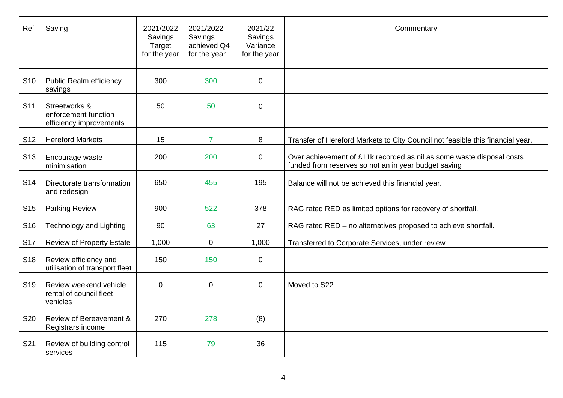| Ref             | Saving                                                           | 2021/2022<br>Savings<br>Target<br>for the year | 2021/2022<br>Savings<br>achieved Q4<br>for the year | 2021/22<br>Savings<br>Variance<br>for the year | Commentary                                                                                                                    |
|-----------------|------------------------------------------------------------------|------------------------------------------------|-----------------------------------------------------|------------------------------------------------|-------------------------------------------------------------------------------------------------------------------------------|
| S <sub>10</sub> | <b>Public Realm efficiency</b><br>savings                        | 300                                            | 300                                                 | $\overline{0}$                                 |                                                                                                                               |
| S <sub>11</sub> | Streetworks &<br>enforcement function<br>efficiency improvements | 50                                             | 50                                                  | $\overline{0}$                                 |                                                                                                                               |
| S <sub>12</sub> | <b>Hereford Markets</b>                                          | 15                                             | $\overline{7}$                                      | 8                                              | Transfer of Hereford Markets to City Council not feasible this financial year.                                                |
| S <sub>13</sub> | Encourage waste<br>minimisation                                  | 200                                            | 200                                                 | $\overline{0}$                                 | Over achievement of £11k recorded as nil as some waste disposal costs<br>funded from reserves so not an in year budget saving |
| S <sub>14</sub> | Directorate transformation<br>and redesign                       | 650                                            | 455                                                 | 195                                            | Balance will not be achieved this financial year.                                                                             |
| S <sub>15</sub> | <b>Parking Review</b>                                            | 900                                            | 522                                                 | 378                                            | RAG rated RED as limited options for recovery of shortfall.                                                                   |
| S <sub>16</sub> | <b>Technology and Lighting</b>                                   | 90                                             | 63                                                  | 27                                             | RAG rated RED - no alternatives proposed to achieve shortfall.                                                                |
| <b>S17</b>      | <b>Review of Property Estate</b>                                 | 1,000                                          | $\mathbf 0$                                         | 1,000                                          | Transferred to Corporate Services, under review                                                                               |
| S <sub>18</sub> | Review efficiency and<br>utilisation of transport fleet          | 150                                            | 150                                                 | $\mathbf 0$                                    |                                                                                                                               |
| S <sub>19</sub> | Review weekend vehicle<br>rental of council fleet<br>vehicles    | $\Omega$                                       | $\mathbf{0}$                                        | $\overline{0}$                                 | Moved to S22                                                                                                                  |
| <b>S20</b>      | Review of Bereavement &<br>Registrars income                     | 270                                            | 278                                                 | (8)                                            |                                                                                                                               |
| S <sub>21</sub> | Review of building control<br>services                           | 115                                            | 79                                                  | 36                                             |                                                                                                                               |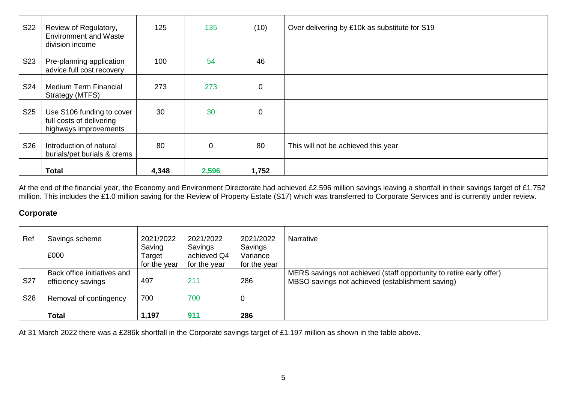| <b>S22</b>      | Review of Regulatory,<br><b>Environment and Waste</b><br>division income       | 125   | 135            | (10)     | Over delivering by £10k as substitute for S19 |
|-----------------|--------------------------------------------------------------------------------|-------|----------------|----------|-----------------------------------------------|
| S <sub>23</sub> | Pre-planning application<br>advice full cost recovery                          | 100   | 54             | 46       |                                               |
| S24             | <b>Medium Term Financial</b><br>Strategy (MTFS)                                | 273   | 273            | 0        |                                               |
| S <sub>25</sub> | Use S106 funding to cover<br>full costs of delivering<br>highways improvements | 30    | 30             | $\Omega$ |                                               |
| S <sub>26</sub> | Introduction of natural<br>burials/pet burials & crems                         | 80    | $\overline{0}$ | 80       | This will not be achieved this year           |
|                 | <b>Total</b>                                                                   | 4,348 | 2,596          | 1,752    |                                               |

At the end of the financial year, the Economy and Environment Directorate had achieved £2.596 million savings leaving a shortfall in their savings target of £1.752 million. This includes the £1.0 million saving for the Review of Property Estate (S17) which was transferred to Corporate Services and is currently under review.

#### **Corporate**

| Ref        | Savings scheme<br>£000                            | 2021/2022<br>Saving<br>Target | 2021/2022<br>Savings<br>achieved Q4 | 2021/2022<br>Savings<br>Variance | <b>Narrative</b>                                                                                                        |
|------------|---------------------------------------------------|-------------------------------|-------------------------------------|----------------------------------|-------------------------------------------------------------------------------------------------------------------------|
|            |                                                   | for the year                  | for the year                        | for the year                     |                                                                                                                         |
| <b>S27</b> | Back office initiatives and<br>efficiency savings | 497                           | 211                                 | 286                              | MERS savings not achieved (staff opportunity to retire early offer)<br>MBSO savings not achieved (establishment saving) |
| S28        | Removal of contingency                            | 700                           | 700                                 |                                  |                                                                                                                         |
|            | <b>Total</b>                                      | 1,197                         | 911                                 | 286                              |                                                                                                                         |

At 31 March 2022 there was a £286k shortfall in the Corporate savings target of £1.197 million as shown in the table above.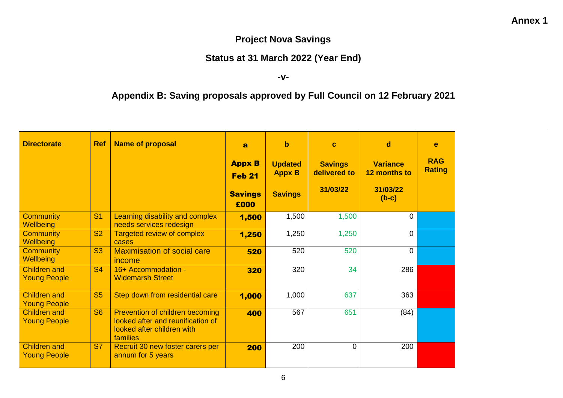## **Project Nova Savings**

# **Status at 31 March 2022 (Year End)**

#### **-v-**

# **Appendix B: Saving proposals approved by Full Council on 12 February 2021**

| <b>Directorate</b>                         | <b>Ref</b>     | <b>Name of proposal</b>                                                                                        | $\mathbf{a}$                   | $\mathbf b$                     | $\mathbf c$                    | $\mathbf d$                     | e                           |
|--------------------------------------------|----------------|----------------------------------------------------------------------------------------------------------------|--------------------------------|---------------------------------|--------------------------------|---------------------------------|-----------------------------|
|                                            |                |                                                                                                                | <b>Appx B</b><br><b>Feb 21</b> | <b>Updated</b><br><b>Appx B</b> | <b>Savings</b><br>delivered to | <b>Variance</b><br>12 months to | <b>RAG</b><br><b>Rating</b> |
|                                            |                |                                                                                                                | <b>Savings</b><br>£000         | <b>Savings</b>                  | 31/03/22                       | 31/03/22<br>$(b-c)$             |                             |
| <b>Community</b><br>Wellbeing              | S <sub>1</sub> | Learning disability and complex<br>needs services redesign                                                     | 1,500                          | 1,500                           | 1,500                          | 0                               |                             |
| <b>Community</b><br>Wellbeing              | <b>S2</b>      | Targeted review of complex<br>cases                                                                            | 1,250                          | 1,250                           | 1,250                          | $\overline{0}$                  |                             |
| <b>Community</b><br>Wellbeing              | <b>S3</b>      | <b>Maximisation of social care</b><br>income                                                                   | 520                            | 520                             | 520                            | $\overline{0}$                  |                             |
| <b>Children and</b><br><b>Young People</b> | <b>S4</b>      | 16+ Accommodation -<br><b>Widemarsh Street</b>                                                                 | 320                            | 320                             | 34                             | 286                             |                             |
| <b>Children and</b><br><b>Young People</b> | <b>S5</b>      | Step down from residential care                                                                                | 1,000                          | 1,000                           | 637                            | 363                             |                             |
| <b>Children and</b><br><b>Young People</b> | <b>S6</b>      | Prevention of children becoming<br>looked after and reunification of<br>looked after children with<br>families | 400                            | 567                             | 651                            | (84)                            |                             |
| <b>Children and</b><br><b>Young People</b> | <b>S7</b>      | Recruit 30 new foster carers per<br>annum for 5 years                                                          | 200                            | 200                             | $\mathbf 0$                    | 200                             |                             |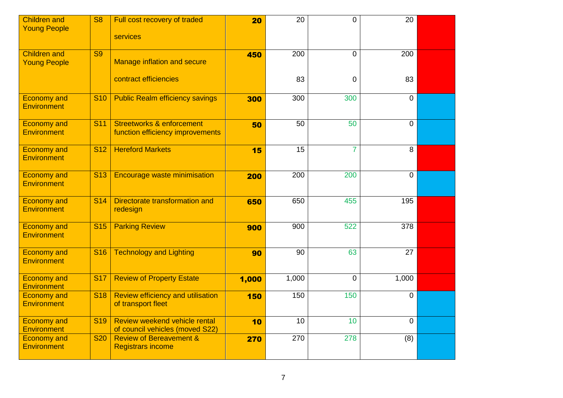| <b>Children and</b><br><b>Young People</b> | <b>S8</b>       | Full cost recovery of traded<br>services                                 | 20    | 20               | $\Omega$       | 20             |  |
|--------------------------------------------|-----------------|--------------------------------------------------------------------------|-------|------------------|----------------|----------------|--|
| <b>Children and</b><br><b>Young People</b> | <b>S9</b>       | <b>Manage inflation and secure</b>                                       | 450   | $\overline{200}$ | $\Omega$       | 200            |  |
|                                            |                 | contract efficiencies                                                    |       | 83               | $\mathbf 0$    | 83             |  |
| <b>Economy and</b><br><b>Environment</b>   | <b>S10</b>      | <b>Public Realm efficiency savings</b>                                   | 300   | 300              | 300            | $\mathbf 0$    |  |
| <b>Economy and</b><br><b>Environment</b>   | <b>S11</b>      | <b>Streetworks &amp; enforcement</b><br>function efficiency improvements | 50    | 50               | 50             | $\mathbf 0$    |  |
| <b>Economy and</b><br><b>Environment</b>   | <b>S12</b>      | <b>Hereford Markets</b>                                                  | 15    | 15               | $\overline{7}$ | 8              |  |
| <b>Economy and</b><br><b>Environment</b>   | S <sub>13</sub> | <b>Encourage waste minimisation</b>                                      | 200   | $\overline{200}$ | 200            | $\overline{0}$ |  |
| <b>Economy and</b><br><b>Environment</b>   | <b>S14</b>      | Directorate transformation and<br>redesign                               | 650   | 650              | 455            | 195            |  |
| <b>Economy and</b><br><b>Environment</b>   | <b>S15</b>      | <b>Parking Review</b>                                                    | 900   | 900              | 522            | 378            |  |
| <b>Economy and</b><br><b>Environment</b>   | <b>S16</b>      | <b>Technology and Lighting</b>                                           | 90    | 90               | 63             | 27             |  |
| <b>Economy and</b><br><b>Environment</b>   | <b>S17</b>      | <b>Review of Property Estate</b>                                         | 1,000 | 1,000            | $\overline{0}$ | 1,000          |  |
| <b>Economy and</b><br><b>Environment</b>   | <b>S18</b>      | <b>Review efficiency and utilisation</b><br>of transport fleet           | 150   | 150              | 150            | $\mathbf 0$    |  |
| <b>Economy and</b><br><b>Environment</b>   | <b>S19</b>      | Review weekend vehicle rental<br>of council vehicles (moved S22)         | 10    | 10               | 10             | $\mathbf 0$    |  |
| <b>Economy and</b><br><b>Environment</b>   | <b>S20</b>      | <b>Review of Bereavement &amp;</b><br><b>Registrars income</b>           | 270   | 270              | 278            | (8)            |  |